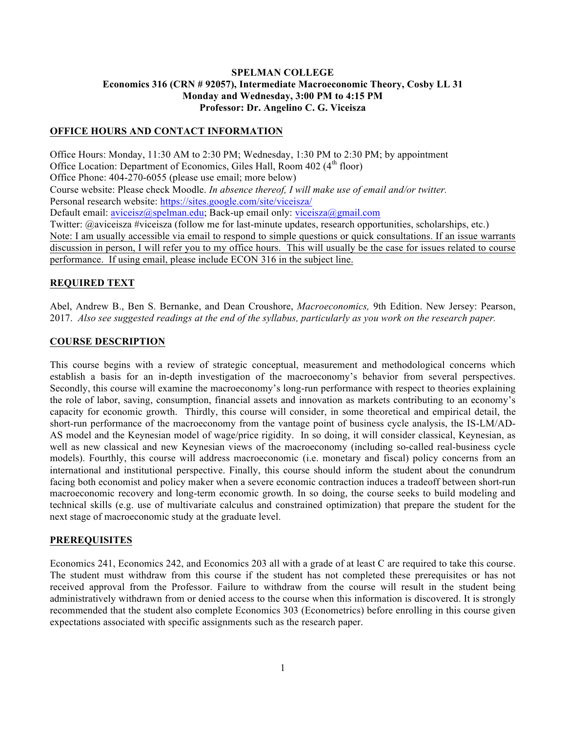### **SPELMAN COLLEGE Economics 316 (CRN # 92057), Intermediate Macroeconomic Theory, Cosby LL 31 Monday and Wednesday, 3:00 PM to 4:15 PM Professor: Dr. Angelino C. G. Viceisza**

#### **OFFICE HOURS AND CONTACT INFORMATION**

Office Hours: Monday, 11:30 AM to 2:30 PM; Wednesday, 1:30 PM to 2:30 PM; by appointment Office Location: Department of Economics, Giles Hall, Room 402 (4<sup>th</sup> floor) Office Phone: 404-270-6055 (please use email; more below) Course website: Please check Moodle. *In absence thereof, I will make use of email and/or twitter.*  Personal research website: https://sites.google.com/site/viceisza/ Default email: aviceisz@spelman.edu; Back-up email only: viceisza@gmail.com Twitter: @aviceisza #viceisza (follow me for last-minute updates, research opportunities, scholarships, etc.) Note: I am usually accessible via email to respond to simple questions or quick consultations. If an issue warrants discussion in person, I will refer you to my office hours. This will usually be the case for issues related to course performance. If using email, please include ECON 316 in the subject line.

#### **REQUIRED TEXT**

Abel, Andrew B., Ben S. Bernanke, and Dean Croushore, *Macroeconomics,* 9th Edition. New Jersey: Pearson, 2017. *Also see suggested readings at the end of the syllabus, particularly as you work on the research paper.*

#### **COURSE DESCRIPTION**

This course begins with a review of strategic conceptual, measurement and methodological concerns which establish a basis for an in-depth investigation of the macroeconomy's behavior from several perspectives. Secondly, this course will examine the macroeconomy's long-run performance with respect to theories explaining the role of labor, saving, consumption, financial assets and innovation as markets contributing to an economy's capacity for economic growth. Thirdly, this course will consider, in some theoretical and empirical detail, the short-run performance of the macroeconomy from the vantage point of business cycle analysis, the IS-LM/AD-AS model and the Keynesian model of wage/price rigidity. In so doing, it will consider classical, Keynesian, as well as new classical and new Keynesian views of the macroeconomy (including so-called real-business cycle models). Fourthly, this course will address macroeconomic (i.e. monetary and fiscal) policy concerns from an international and institutional perspective. Finally, this course should inform the student about the conundrum facing both economist and policy maker when a severe economic contraction induces a tradeoff between short-run macroeconomic recovery and long-term economic growth. In so doing, the course seeks to build modeling and technical skills (e.g. use of multivariate calculus and constrained optimization) that prepare the student for the next stage of macroeconomic study at the graduate level.

#### **PREREQUISITES**

Economics 241, Economics 242, and Economics 203 all with a grade of at least C are required to take this course. The student must withdraw from this course if the student has not completed these prerequisites or has not received approval from the Professor. Failure to withdraw from the course will result in the student being administratively withdrawn from or denied access to the course when this information is discovered. It is strongly recommended that the student also complete Economics 303 (Econometrics) before enrolling in this course given expectations associated with specific assignments such as the research paper.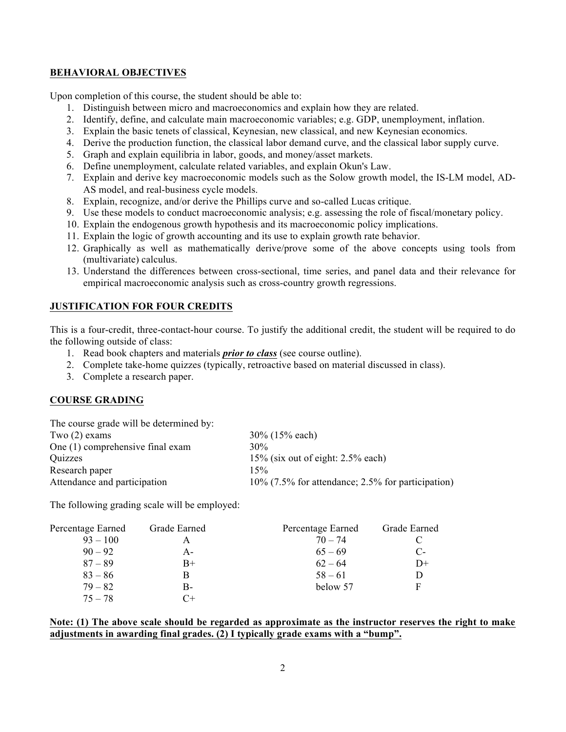### **BEHAVIORAL OBJECTIVES**

Upon completion of this course, the student should be able to:

- 1. Distinguish between micro and macroeconomics and explain how they are related.
- 2. Identify, define, and calculate main macroeconomic variables; e.g. GDP, unemployment, inflation.
- 3. Explain the basic tenets of classical, Keynesian, new classical, and new Keynesian economics.
- 4. Derive the production function, the classical labor demand curve, and the classical labor supply curve.
- 5. Graph and explain equilibria in labor, goods, and money/asset markets.
- 6. Define unemployment, calculate related variables, and explain Okun's Law.
- 7. Explain and derive key macroeconomic models such as the Solow growth model, the IS-LM model, AD-AS model, and real-business cycle models.
- 8. Explain, recognize, and/or derive the Phillips curve and so-called Lucas critique.
- 9. Use these models to conduct macroeconomic analysis; e.g. assessing the role of fiscal/monetary policy.
- 10. Explain the endogenous growth hypothesis and its macroeconomic policy implications.
- 11. Explain the logic of growth accounting and its use to explain growth rate behavior.
- 12. Graphically as well as mathematically derive/prove some of the above concepts using tools from (multivariate) calculus.
- 13. Understand the differences between cross-sectional, time series, and panel data and their relevance for empirical macroeconomic analysis such as cross-country growth regressions.

### **JUSTIFICATION FOR FOUR CREDITS**

This is a four-credit, three-contact-hour course. To justify the additional credit, the student will be required to do the following outside of class:

- 1. Read book chapters and materials *prior to class* (see course outline).
- 2. Complete take-home quizzes (typically, retroactive based on material discussed in class).
- 3. Complete a research paper.

### **COURSE GRADING**

| $30\%$ (15% each)                                    |
|------------------------------------------------------|
| 30%                                                  |
| $15\%$ (six out of eight: 2.5% each)                 |
| 15%                                                  |
| $10\%$ (7.5% for attendance; 2.5% for participation) |
|                                                      |

The following grading scale will be employed:

| Percentage Earned | Grade Earned | Percentage Earned | Grade Earned |
|-------------------|--------------|-------------------|--------------|
| $93 - 100$        |              | $70 - 74$         |              |
| $90 - 92$         | A-           | $65 - 69$         | $C$ -        |
| $87 - 89$         | $B+$         | $62 - 64$         | $D+$         |
| $83 - 86$         |              | $58 - 61$         | D            |
| $79 - 82$         | B-           | below 57          | F            |
| $75 - 78$         | $C+$         |                   |              |

### **Note: (1) The above scale should be regarded as approximate as the instructor reserves the right to make adjustments in awarding final grades. (2) I typically grade exams with a "bump".**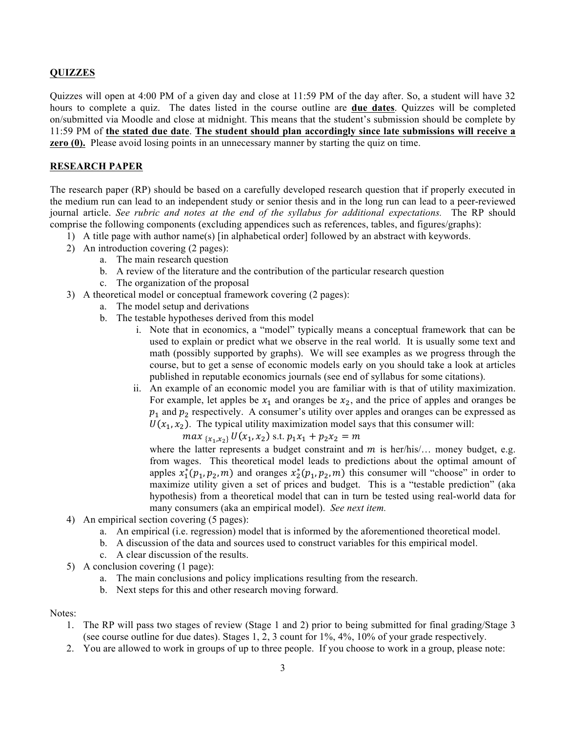## **QUIZZES**

Quizzes will open at 4:00 PM of a given day and close at 11:59 PM of the day after. So, a student will have 32 hours to complete a quiz. The dates listed in the course outline are **due dates**. Quizzes will be completed on/submitted via Moodle and close at midnight. This means that the student's submission should be complete by 11:59 PM of **the stated due date**. **The student should plan accordingly since late submissions will receive a zero (0).** Please avoid losing points in an unnecessary manner by starting the quiz on time.

#### **RESEARCH PAPER**

The research paper (RP) should be based on a carefully developed research question that if properly executed in the medium run can lead to an independent study or senior thesis and in the long run can lead to a peer-reviewed journal article. *See rubric and notes at the end of the syllabus for additional expectations.* The RP should comprise the following components (excluding appendices such as references, tables, and figures/graphs):

- 1) A title page with author name(s) [in alphabetical order] followed by an abstract with keywords.
- 2) An introduction covering (2 pages):
	- a. The main research question
	- b. A review of the literature and the contribution of the particular research question
	- c. The organization of the proposal
- 3) A theoretical model or conceptual framework covering (2 pages):
	- a. The model setup and derivations
	- b. The testable hypotheses derived from this model
		- i. Note that in economics, a "model" typically means a conceptual framework that can be used to explain or predict what we observe in the real world. It is usually some text and math (possibly supported by graphs). We will see examples as we progress through the course, but to get a sense of economic models early on you should take a look at articles published in reputable economics journals (see end of syllabus for some citations).
		- ii. An example of an economic model you are familiar with is that of utility maximization. For example, let apples be  $x_1$  and oranges be  $x_2$ , and the price of apples and oranges be  $p_1$  and  $p_2$  respectively. A consumer's utility over apples and oranges can be expressed as  $U(x_1, x_2)$ . The typical utility maximization model says that this consumer will:

 $max_{\{x_1, x_2\}} U(x_1, x_2)$  s.t.  $p_1x_1 + p_2x_2 = m$ 

where the latter represents a budget constraint and  $m$  is her/his/... money budget, e.g. from wages. This theoretical model leads to predictions about the optimal amount of apples  $x_1^*(p_1, p_2, m)$  and oranges  $x_2^*(p_1, p_2, m)$  this consumer will "choose" in order to maximize utility given a set of prices and budget. This is a "testable prediction" (aka hypothesis) from a theoretical model that can in turn be tested using real-world data for many consumers (aka an empirical model). *See next item.*

- 4) An empirical section covering (5 pages):
	- a. An empirical (i.e. regression) model that is informed by the aforementioned theoretical model.
	- b. A discussion of the data and sources used to construct variables for this empirical model.
	- c. A clear discussion of the results.
- 5) A conclusion covering (1 page):
	- a. The main conclusions and policy implications resulting from the research.
	- b. Next steps for this and other research moving forward.

#### Notes:

- 1. The RP will pass two stages of review (Stage 1 and 2) prior to being submitted for final grading/Stage 3 (see course outline for due dates). Stages 1, 2, 3 count for 1%, 4%, 10% of your grade respectively.
- 2. You are allowed to work in groups of up to three people. If you choose to work in a group, please note: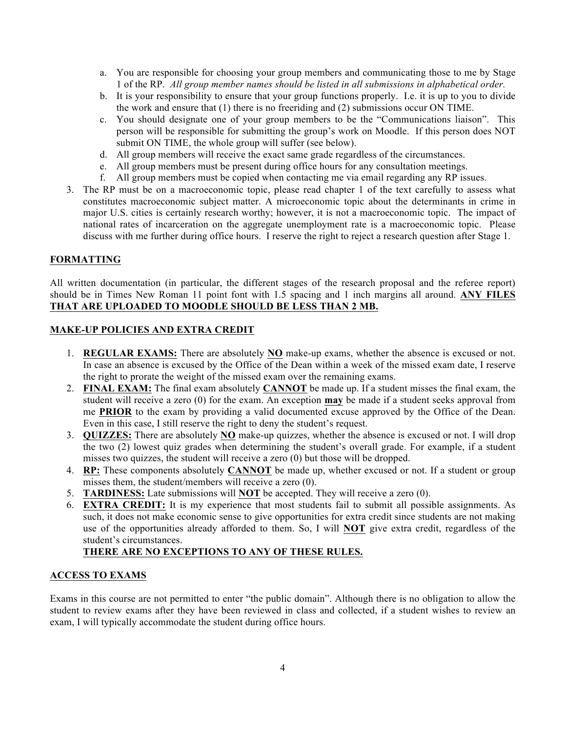- a. You are responsible for choosing your group members and communicating those to me by Stage 1 of the RP. *All group member names should be listed in all submissions in alphabetical order.*
- b. It is your responsibility to ensure that your group functions properly. I.e. it is up to you to divide the work and ensure that (1) there is no freeriding and (2) submissions occur ON TIME.
- c. You should designate one of your group members to be the "Communications liaison". This person will be responsible for submitting the group's work on Moodle. If this person does NOT submit ON TIME, the whole group will suffer (see below).
- d. All group members will receive the exact same grade regardless of the circumstances.
- e. All group members must be present during office hours for any consultation meetings.
- f. All group members must be copied when contacting me via email regarding any RP issues.
- 3. The RP must be on a macroeconomic topic, please read chapter 1 of the text carefully to assess what constitutes macroeconomic subject matter. A microeconomic topic about the determinants in crime in major U.S. cities is certainly research worthy; however, it is not a macroeconomic topic. The impact of national rates of incarceration on the aggregate unemployment rate is a macroeconomic topic. Please discuss with me further during office hours. I reserve the right to reject a research question after Stage 1.

## **FORMATTING**

All written documentation (in particular, the different stages of the research proposal and the referee report) should be in Times New Roman 11 point font with 1.5 spacing and 1 inch margins all around. **ANY FILES THAT ARE UPLOADED TO MOODLE SHOULD BE LESS THAN 2 MB.** 

### **MAKE-UP POLICIES AND EXTRA CREDIT**

- 1. **REGULAR EXAMS:** There are absolutely **NO** make-up exams, whether the absence is excused or not. In case an absence is excused by the Office of the Dean within a week of the missed exam date, I reserve the right to prorate the weight of the missed exam over the remaining exams.
- 2. **FINAL EXAM:** The final exam absolutely **CANNOT** be made up. If a student misses the final exam, the student will receive a zero (0) for the exam. An exception **may** be made if a student seeks approval from me **PRIOR** to the exam by providing a valid documented excuse approved by the Office of the Dean. Even in this case, I still reserve the right to deny the student's request.
- 3. **QUIZZES:** There are absolutely **NO** make-up quizzes, whether the absence is excused or not. I will drop the two (2) lowest quiz grades when determining the student's overall grade. For example, if a student misses two quizzes, the student will receive a zero (0) but those will be dropped.
- 4. **RP:** These components absolutely **CANNOT** be made up, whether excused or not. If a student or group misses them, the student/members will receive a zero (0).
- 5. **TARDINESS:** Late submissions will **NOT** be accepted. They will receive a zero (0).
- 6. **EXTRA CREDIT:** It is my experience that most students fail to submit all possible assignments. As such, it does not make economic sense to give opportunities for extra credit since students are not making use of the opportunities already afforded to them. So, I will **NOT** give extra credit, regardless of the student's circumstances.

# **THERE ARE NO EXCEPTIONS TO ANY OF THESE RULES.**

### **ACCESS TO EXAMS**

Exams in this course are not permitted to enter "the public domain". Although there is no obligation to allow the student to review exams after they have been reviewed in class and collected, if a student wishes to review an exam, I will typically accommodate the student during office hours.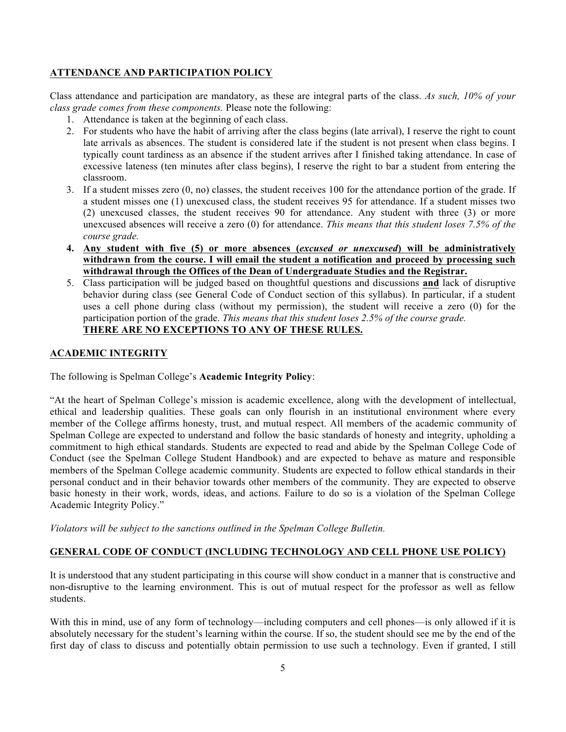## **ATTENDANCE AND PARTICIPATION POLICY**

Class attendance and participation are mandatory, as these are integral parts of the class. *As such, 10% of your class grade comes from these components.* Please note the following:

- 1. Attendance is taken at the beginning of each class.
- 2. For students who have the habit of arriving after the class begins (late arrival), I reserve the right to count late arrivals as absences. The student is considered late if the student is not present when class begins. I typically count tardiness as an absence if the student arrives after I finished taking attendance. In case of excessive lateness (ten minutes after class begins), I reserve the right to bar a student from entering the classroom.
- 3. If a student misses zero (0, no) classes, the student receives 100 for the attendance portion of the grade. If a student misses one (1) unexcused class, the student receives 95 for attendance. If a student misses two (2) unexcused classes, the student receives 90 for attendance. Any student with three (3) or more unexcused absences will receive a zero (0) for attendance. *This means that this student loses 7.5% of the course grade.*
- **4. Any student with five (5) or more absences (***excused or unexcused***) will be administratively withdrawn from the course. I will email the student a notification and proceed by processing such withdrawal through the Offices of the Dean of Undergraduate Studies and the Registrar.**
- 5. Class participation will be judged based on thoughtful questions and discussions **and** lack of disruptive behavior during class (see General Code of Conduct section of this syllabus). In particular, if a student uses a cell phone during class (without my permission), the student will receive a zero (0) for the participation portion of the grade. *This means that this student loses 2.5% of the course grade.* **THERE ARE NO EXCEPTIONS TO ANY OF THESE RULES.**

## **ACADEMIC INTEGRITY**

The following is Spelman College's **Academic Integrity Policy**:

"At the heart of Spelman College's mission is academic excellence, along with the development of intellectual, ethical and leadership qualities. These goals can only flourish in an institutional environment where every member of the College affirms honesty, trust, and mutual respect. All members of the academic community of Spelman College are expected to understand and follow the basic standards of honesty and integrity, upholding a commitment to high ethical standards. Students are expected to read and abide by the Spelman College Code of Conduct (see the Spelman College Student Handbook) and are expected to behave as mature and responsible members of the Spelman College academic community. Students are expected to follow ethical standards in their personal conduct and in their behavior towards other members of the community. They are expected to observe basic honesty in their work, words, ideas, and actions. Failure to do so is a violation of the Spelman College Academic Integrity Policy."

*Violators will be subject to the sanctions outlined in the Spelman College Bulletin.*

# **GENERAL CODE OF CONDUCT (INCLUDING TECHNOLOGY AND CELL PHONE USE POLICY)**

It is understood that any student participating in this course will show conduct in a manner that is constructive and non-disruptive to the learning environment. This is out of mutual respect for the professor as well as fellow students.

With this in mind, use of any form of technology—including computers and cell phones—is only allowed if it is absolutely necessary for the student's learning within the course. If so, the student should see me by the end of the first day of class to discuss and potentially obtain permission to use such a technology. Even if granted, I still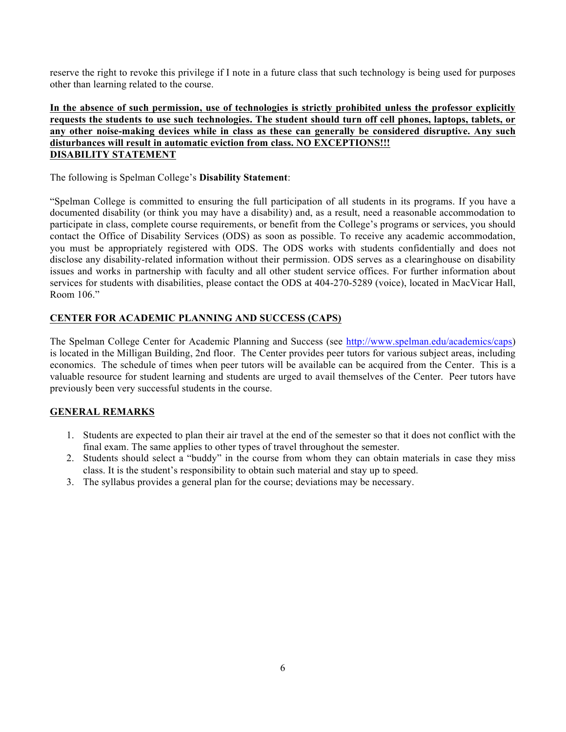reserve the right to revoke this privilege if I note in a future class that such technology is being used for purposes other than learning related to the course.

### **In the absence of such permission, use of technologies is strictly prohibited unless the professor explicitly requests the students to use such technologies. The student should turn off cell phones, laptops, tablets, or any other noise-making devices while in class as these can generally be considered disruptive. Any such disturbances will result in automatic eviction from class. NO EXCEPTIONS!!! DISABILITY STATEMENT**

The following is Spelman College's **Disability Statement**:

"Spelman College is committed to ensuring the full participation of all students in its programs. If you have a documented disability (or think you may have a disability) and, as a result, need a reasonable accommodation to participate in class, complete course requirements, or benefit from the College's programs or services, you should contact the Office of Disability Services (ODS) as soon as possible. To receive any academic accommodation, you must be appropriately registered with ODS. The ODS works with students confidentially and does not disclose any disability-related information without their permission. ODS serves as a clearinghouse on disability issues and works in partnership with faculty and all other student service offices. For further information about services for students with disabilities, please contact the ODS at 404-270-5289 (voice), located in MacVicar Hall, Room 106."

# **CENTER FOR ACADEMIC PLANNING AND SUCCESS (CAPS)**

The Spelman College Center for Academic Planning and Success (see http://www.spelman.edu/academics/caps) is located in the Milligan Building, 2nd floor. The Center provides peer tutors for various subject areas, including economics. The schedule of times when peer tutors will be available can be acquired from the Center. This is a valuable resource for student learning and students are urged to avail themselves of the Center. Peer tutors have previously been very successful students in the course.

# **GENERAL REMARKS**

- 1. Students are expected to plan their air travel at the end of the semester so that it does not conflict with the final exam. The same applies to other types of travel throughout the semester.
- 2. Students should select a "buddy" in the course from whom they can obtain materials in case they miss class. It is the student's responsibility to obtain such material and stay up to speed.
- 3. The syllabus provides a general plan for the course; deviations may be necessary.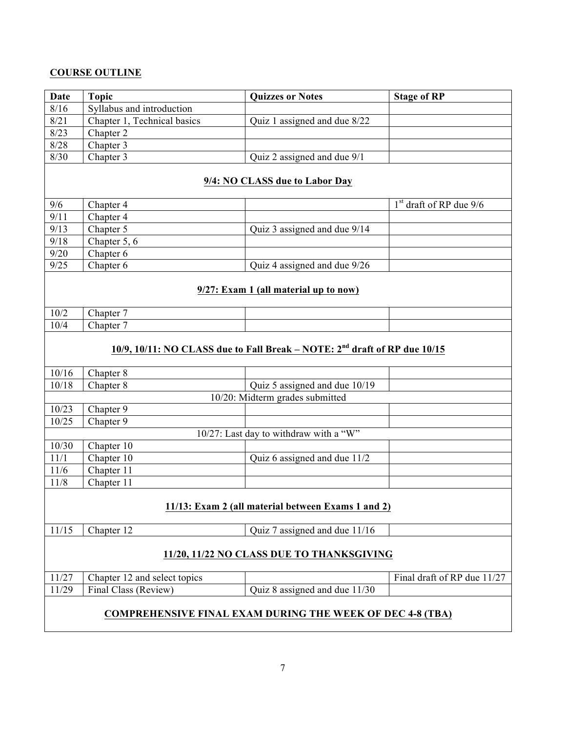# **COURSE OUTLINE**

| <b>Date</b>                                                                 | <b>Topic</b>                 | <b>Quizzes or Notes</b>                | <b>Stage of RP</b>          |  |  |  |
|-----------------------------------------------------------------------------|------------------------------|----------------------------------------|-----------------------------|--|--|--|
| 8/16                                                                        | Syllabus and introduction    |                                        |                             |  |  |  |
| 8/21                                                                        | Chapter 1, Technical basics  | Quiz 1 assigned and due 8/22           |                             |  |  |  |
| 8/23                                                                        | Chapter 2                    |                                        |                             |  |  |  |
| 8/28                                                                        | Chapter 3                    |                                        |                             |  |  |  |
| 8/30                                                                        | Chapter 3                    | Quiz 2 assigned and due 9/1            |                             |  |  |  |
| 9/4: NO CLASS due to Labor Day                                              |                              |                                        |                             |  |  |  |
| 9/6                                                                         | Chapter 4                    |                                        | $1st$ draft of RP due 9/6   |  |  |  |
| 9/11                                                                        | Chapter 4                    |                                        |                             |  |  |  |
| 9/13                                                                        | Chapter 5                    | Quiz 3 assigned and due 9/14           |                             |  |  |  |
| 9/18                                                                        | Chapter 5, 6                 |                                        |                             |  |  |  |
| 9/20                                                                        | Chapter 6                    |                                        |                             |  |  |  |
| 9/25                                                                        | Chapter 6                    | Quiz 4 assigned and due 9/26           |                             |  |  |  |
| 9/27: Exam 1 (all material up to now)                                       |                              |                                        |                             |  |  |  |
| 10/2                                                                        | Chapter 7                    |                                        |                             |  |  |  |
| 10/4                                                                        | Chapter 7                    |                                        |                             |  |  |  |
| 10/9, 10/11: NO CLASS due to Fall Break – NOTE: $2nd$ draft of RP due 10/15 |                              |                                        |                             |  |  |  |
| 10/16                                                                       | Chapter 8                    |                                        |                             |  |  |  |
| 10/18                                                                       | Chapter 8                    | Quiz 5 assigned and due 10/19          |                             |  |  |  |
|                                                                             |                              | 10/20: Midterm grades submitted        |                             |  |  |  |
| 10/23                                                                       | Chapter 9                    |                                        |                             |  |  |  |
| 10/25                                                                       | Chapter 9                    |                                        |                             |  |  |  |
|                                                                             |                              | 10/27: Last day to withdraw with a "W" |                             |  |  |  |
| 10/30                                                                       | Chapter 10                   |                                        |                             |  |  |  |
| 11/1<br>11/6                                                                | Chapter 10<br>Chapter 11     | Quiz 6 assigned and due 11/2           |                             |  |  |  |
|                                                                             |                              |                                        |                             |  |  |  |
| Chapter 11<br>11/8<br>11/13: Exam 2 (all material between Exams 1 and 2)    |                              |                                        |                             |  |  |  |
| 11/15                                                                       | Chapter $12$                 | Quiz 7 assigned and due 11/16          |                             |  |  |  |
| 11/20, 11/22 NO CLASS DUE TO THANKSGIVING                                   |                              |                                        |                             |  |  |  |
| 11/27                                                                       | Chapter 12 and select topics |                                        | Final draft of RP due 11/27 |  |  |  |
| 11/29                                                                       | Final Class (Review)         | Quiz 8 assigned and due 11/30          |                             |  |  |  |
| <b>COMPREHENSIVE FINAL EXAM DURING THE WEEK OF DEC 4-8 (TBA)</b>            |                              |                                        |                             |  |  |  |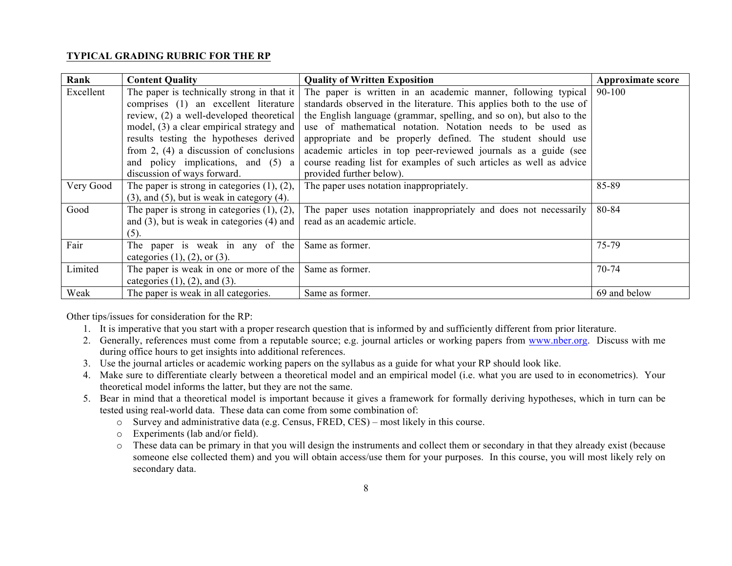### **TYPICAL GRADING RUBRIC FOR THE RP**

| Rank      | <b>Content Quality</b>                              | <b>Quality of Written Exposition</b>                                  | Approximate score |
|-----------|-----------------------------------------------------|-----------------------------------------------------------------------|-------------------|
| Excellent | The paper is technically strong in that it          | The paper is written in an academic manner, following typical         | $90 - 100$        |
|           | comprises (1) an excellent literature               | standards observed in the literature. This applies both to the use of |                   |
|           | review, (2) a well-developed theoretical            | the English language (grammar, spelling, and so on), but also to the  |                   |
|           | model, (3) a clear empirical strategy and           | use of mathematical notation. Notation needs to be used as            |                   |
|           | results testing the hypotheses derived              | appropriate and be properly defined. The student should use           |                   |
|           | from $2$ , (4) a discussion of conclusions          | academic articles in top peer-reviewed journals as a guide (see       |                   |
|           | and policy implications, and (5) a                  | course reading list for examples of such articles as well as advice   |                   |
|           | discussion of ways forward.                         | provided further below).                                              |                   |
| Very Good | The paper is strong in categories $(1)$ , $(2)$ ,   | The paper uses notation inappropriately.                              | 85-89             |
|           | $(3)$ , and $(5)$ , but is weak in category $(4)$ . |                                                                       |                   |
| Good      | The paper is strong in categories $(1)$ , $(2)$ ,   | The paper uses notation inappropriately and does not necessarily      | 80-84             |
|           | and $(3)$ , but is weak in categories $(4)$ and     | read as an academic article.                                          |                   |
|           | (5).                                                |                                                                       |                   |
| Fair      | The paper is weak in any of the                     | Same as former.                                                       | 75-79             |
|           | categories $(1)$ , $(2)$ , or $(3)$ .               |                                                                       |                   |
| Limited   | The paper is weak in one or more of the             | Same as former.                                                       | $70 - 74$         |
|           | categories $(1)$ , $(2)$ , and $(3)$ .              |                                                                       |                   |
| Weak      | The paper is weak in all categories.                | Same as former.                                                       | 69 and below      |

Other tips/issues for consideration for the RP:

- 1. It is imperative that you start with a proper research question that is informed by and sufficiently different from prior literature.
- 2. Generally, references must come from a reputable source; e.g. journal articles or working papers from www.nber.org. Discuss with me during office hours to get insights into additional references.
- 3. Use the journal articles or academic working papers on the syllabus as a guide for what your RP should look like.
- 4. Make sure to differentiate clearly between a theoretical model and an empirical model (i.e. what you are used to in econometrics). Your theoretical model informs the latter, but they are not the same.
- 5. Bear in mind that a theoretical model is important because it gives a framework for formally deriving hypotheses, which in turn can be tested using real-world data. These data can come from some combination of:
	- o Survey and administrative data (e.g. Census, FRED, CES) most likely in this course.
	- o Experiments (lab and/or field).
	- o These data can be primary in that you will design the instruments and collect them or secondary in that they already exist (because someone else collected them) and you will obtain access/use them for your purposes. In this course, you will most likely rely on secondary data.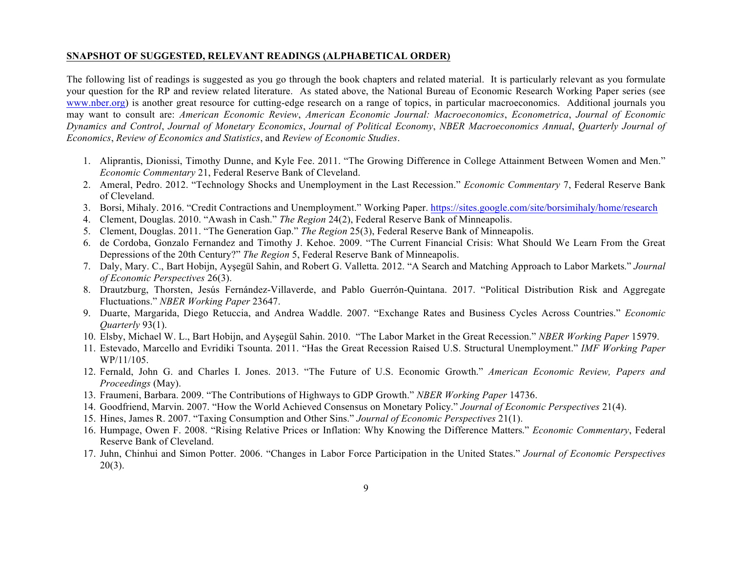#### **SNAPSHOT OF SUGGESTED, RELEVANT READINGS (ALPHABETICAL ORDER)**

The following list of readings is suggested as you go through the book chapters and related material. It is particularly relevant as you formulate your question for the RP and review related literature. As stated above, the National Bureau of Economic Research Working Paper series (see www.nber.org) is another great resource for cutting-edge research on a range of topics, in particular macroeconomics. Additional journals you may want to consult are: *American Economic Review*, *American Economic Journal: Macroeconomics*, *Econometrica*, *Journal of Economic Dynamics and Control*, *Journal of Monetary Economics*, *Journal of Political Economy*, *NBER Macroeconomics Annual*, *Quarterly Journal of Economics*, *Review of Economics and Statistics*, and *Review of Economic Studies*.

- 1. Aliprantis, Dionissi, Timothy Dunne, and Kyle Fee. 2011. "The Growing Difference in College Attainment Between Women and Men." *Economic Commentary* 21, Federal Reserve Bank of Cleveland.
- 2. Ameral, Pedro. 2012. "Technology Shocks and Unemployment in the Last Recession." *Economic Commentary* 7, Federal Reserve Bank of Cleveland.
- 3. Borsi, Mihaly. 2016. "Credit Contractions and Unemployment." Working Paper. https://sites.google.com/site/borsimihaly/home/research
- 4. Clement, Douglas. 2010. "Awash in Cash." *The Region* 24(2), Federal Reserve Bank of Minneapolis.
- 5. Clement, Douglas. 2011. "The Generation Gap." *The Region* 25(3), Federal Reserve Bank of Minneapolis.
- 6. de Cordoba, Gonzalo Fernandez and Timothy J. Kehoe. 2009. "The Current Financial Crisis: What Should We Learn From the Great Depressions of the 20th Century?" *The Region* 5, Federal Reserve Bank of Minneapolis.
- 7. Daly, Mary. C., Bart Hobijn, Ayşegül Sahin, and Robert G. Valletta. 2012. "A Search and Matching Approach to Labor Markets." *Journal of Economic Perspectives* 26(3).
- 8. Drautzburg, Thorsten, Jesús Fernández-Villaverde, and Pablo Guerrón-Quintana. 2017. "Political Distribution Risk and Aggregate Fluctuations." *NBER Working Paper* 23647.
- 9. Duarte, Margarida, Diego Retuccia, and Andrea Waddle. 2007. "Exchange Rates and Business Cycles Across Countries." *Economic Quarterly* 93(1).
- 10. Elsby, Michael W. L., Bart Hobijn, and Ayşegül Sahin. 2010. "The Labor Market in the Great Recession." *NBER Working Paper* 15979.
- 11. Estevado, Marcello and Evridiki Tsounta. 2011. "Has the Great Recession Raised U.S. Structural Unemployment." *IMF Working Paper* WP/11/105.
- 12. Fernald, John G. and Charles I. Jones. 2013. "The Future of U.S. Economic Growth." *American Economic Review, Papers and Proceedings* (May).
- 13. Fraumeni, Barbara. 2009. "The Contributions of Highways to GDP Growth." *NBER Working Paper* 14736.
- 14. Goodfriend, Marvin. 2007. "How the World Achieved Consensus on Monetary Policy." *Journal of Economic Perspectives* 21(4).
- 15. Hines, James R. 2007. "Taxing Consumption and Other Sins." *Journal of Economic Perspectives* 21(1).
- 16. Humpage, Owen F. 2008. "Rising Relative Prices or Inflation: Why Knowing the Difference Matters." *Economic Commentary*, Federal Reserve Bank of Cleveland.
- 17. Juhn, Chinhui and Simon Potter. 2006. "Changes in Labor Force Participation in the United States." *Journal of Economic Perspectives*  $20(3)$ .